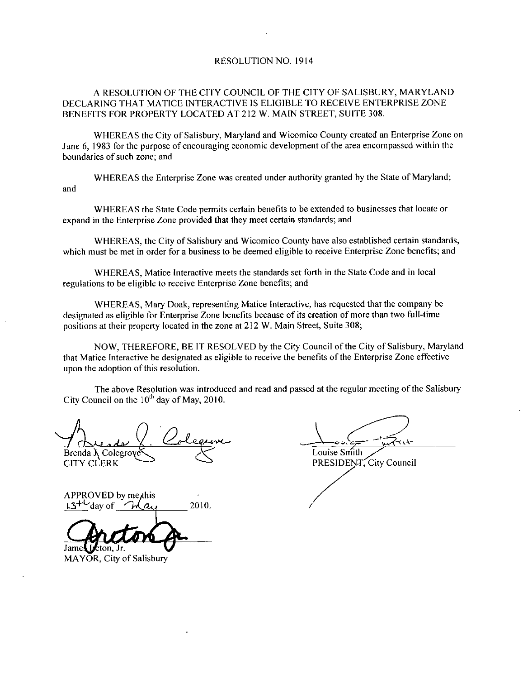## RESOLUTION NO. 1914

# A RESOLUTION OF THE CITY COUNCIL OF THE CITY OF SALISBURY, MARYLAND DECLARING THAT MATICE INTERACTIVE IS ELIGIBLE TO RECEIVE ENTERPRISE ZONE BENEFITS FOR PROPERTY LOCATED AT 212 W. MAIN STREET, SUITE 308.

WHEREAS the City of Salisbury, Maryland and Wicomico County created an Enterprise Zone on June 6, 1983 for the purpose of encouraging economic development of the area encompassed within the boundaries of such zone; and

WHEREAS the Enterprise Zone was created under authority granted by the State of Maryland; and

WHEREAS the State Code permits certain benefits to be extended o businesses that locate or expand in the Enterprise Zone provided that they meet certain standards; and

WHEREAS, the City of Salisbury and Wicomico County have also established certain standards, which must be met in order for a business to be deemed eligible to receive Enterprise Zone benefits; and

WHEREAS Matice Interactive meets the standards set forth in the State Code and in local regulations to be eligible to receive Enterprise Zone benefits; and

WHEREAS, Mary Doak, representing Matice Interactive, has requested that the company be designated as eligible for Enterprise Zone benefits because ofits creation of more than two full time positions at their property located in the zone at 212 W. Main Street, Suite 308;

NOW, THEREFORE, BE IT RESOLVED by the City Council of the City of Salisbury, Maryland that Matice Interactive be designated as eligible to receive the benefits ofthe Enterprise Zone effective upon the adoption of this resolution.

The above Resolution was introduced and read and passed at the regular meeting of the Salisbury The above Resolution was introdu<br>City Council on the  $10^{th}$  day of May, 2010.

ay of May, 2010.<br>Colegane Brenda  $\lambda$  Colegrove CITY CLERK

Louise Smith PRESIDENT, City Council

APPROVED by me<sub>this</sub> The Council on the TU day of May, 20<br>
Brenda A Colegroves<br>
CITY CLERK<br>
APPROVED by me this<br>
13<sup>+1</sup> day of *Chang*<br>
2010. Jame beton, Jr.

MAYOR, City of Salisbury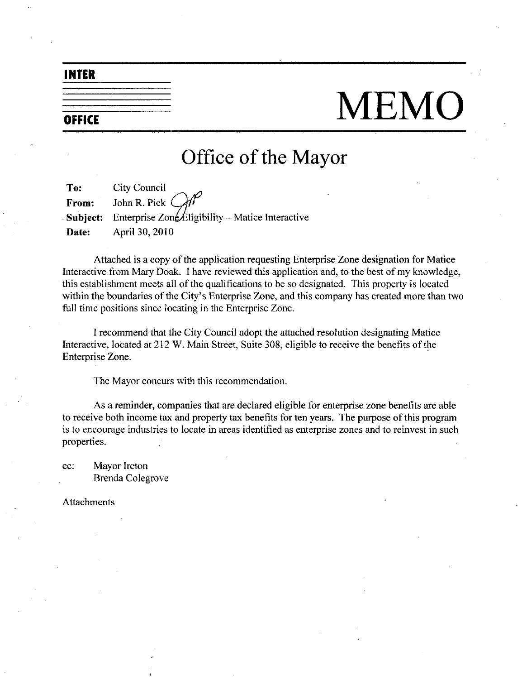INTER

# OFFICE MEMO

# Office of the Mayor

| To:   | <b>City Council</b>                                                                            |
|-------|------------------------------------------------------------------------------------------------|
|       | From: John R. Pick $\mathbb{CP}$                                                               |
|       | <b>Subject:</b> Enterprise $\text{Zon}\cancel{\text{\pounds}}$ ligibility – Matice Interactive |
| Date: | April 30, 2010                                                                                 |

Attached is a copy of the application requesting Enterprise Zone designation for Matice Interactive from Mary Doak. I have reviewed this application and, to the best of my knowledge, this establishment meets all of the qualifications to be so designated. This property is located within the boundaries of the City's Enterprise Zone, and this company has created more than two full time positions since locating in the Enterprise Zone.

I recommend that the City Council adopt the attached resolution designating Matice Interactive, located at 212 W. Main Street, Suite 308, eligible to receive the benefits of the Enterprise Zone

The Mayor concurs with this recommendation

As a reminder, companies that are declared eligible for enterprise zone benefits are able to receive both income tax and property tax benefits for ten years. The purpose of this program is to encourage industries to locate in areas identified as enterprise zones and to reinvest in such properties

cc: Mayor Ireton Brenda Colegrove

Attachments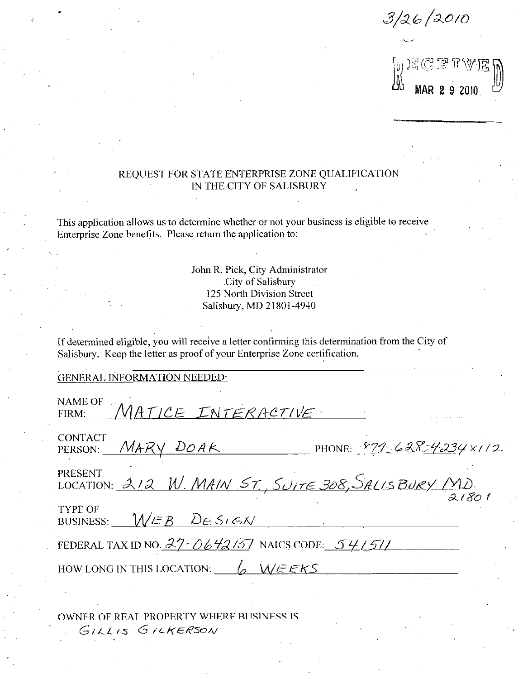$\frac{1}{26}$  /26 /2010<br> $\frac{1}{20}$  E C F T V E  $\frac{1}{20}$ <br> $\frac{1}{20}$  MAR 2 9 2010

# REQUEST FOR STATE ENTERPRISE ZONE QUALIFICATION IN THE CITY OF SALISBURY

This application allows us to determine whether or not your business is eligible to receive Enterprise Zone benefits. Please return the application to:

> John R. Pick, City Administrator City of Salisbury 125 North Division Street Salisbury, MD 21801-4940

| $12J$ inditii divisiuli duccu<br>Salisbury, MD 21801-4940                                                                                                                      |
|--------------------------------------------------------------------------------------------------------------------------------------------------------------------------------|
| If determined eligible, you will receive a letter confirming this determination from the City of<br>Salisbury. Keep the letter as proof of your Enterprise Zone certification. |
| <b>GENERAL INFORMATION NEEDED:</b>                                                                                                                                             |
| <b>NAME OF</b><br>FIRM: MATICE INTERACTIVE                                                                                                                                     |
| <b>CONTACT</b><br>PERSON: MARY DOAK PHONE: 871-628-4234×112                                                                                                                    |
| <b>PRESENT</b><br>LOCATION: $3/2$ W. MAIN ST., SUITE 308, SALIS BURY (MD)                                                                                                      |
| <b>TYPE OF</b><br>BUSINESS: $WEB$ $DESi6N$                                                                                                                                     |
| FEDERAL TAX ID NO. $27 - 06 + 215$ NAICS CODE: $54151$                                                                                                                         |
| HOW LONG IN THIS LOCATION: $6$ WEEKS                                                                                                                                           |
| OWNER OF REAL PROPERTY WHERE BUSINESS IS                                                                                                                                       |
| GILLIS GILKERSON                                                                                                                                                               |
|                                                                                                                                                                                |